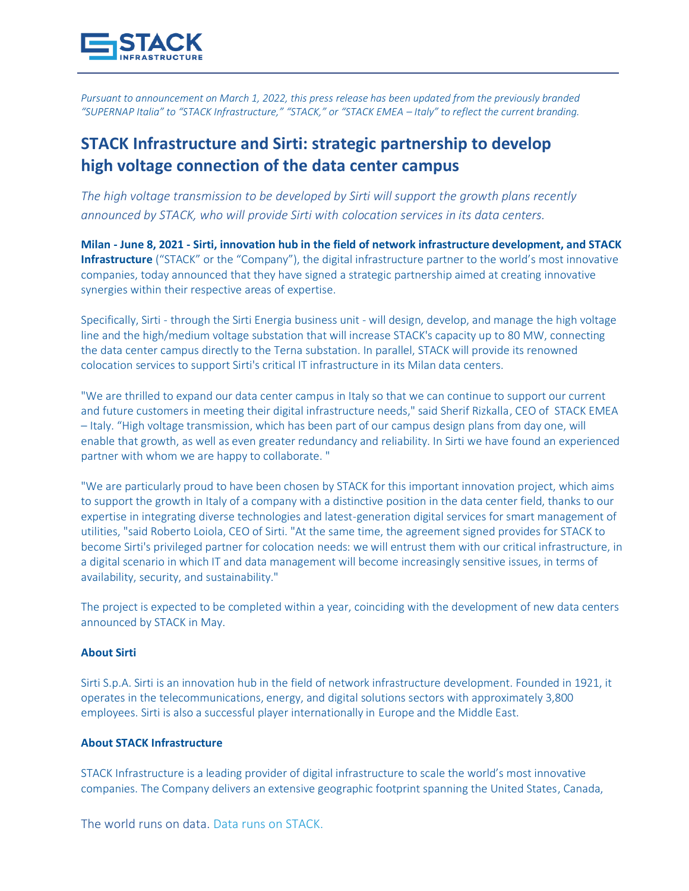

*Pursuant to announcement on March 1, 2022, this press release has been updated from the previously branded "SUPERNAP Italia" to "STACK Infrastructure," "STACK," or "STACK EMEA – Italy" to reflect the current branding.*

# **STACK Infrastructure and Sirti: strategic partnership to develop high voltage connection of the data center campus**

*The high voltage transmission to be developed by Sirti will support the growth plans recently announced by STACK, who will provide Sirti with colocation services in its data centers.*

**Milan - June 8, 2021 - Sirti, innovation hub in the field of network infrastructure development, and STACK Infrastructure** ("STACK" or the "Company"), the digital infrastructure partner to the world's most innovative companies, today announced that they have signed a strategic partnership aimed at creating innovative synergies within their respective areas of expertise.

Specifically, Sirti - through the Sirti Energia business unit - will design, develop, and manage the high voltage line and the high/medium voltage substation that will increase STACK's capacity up to 80 MW, connecting the data center campus directly to the Terna substation. In parallel, STACK will provide its renowned colocation services to support Sirti's critical IT infrastructure in its Milan data centers.

"We are thrilled to expand our data center campus in Italy so that we can continue to support our current and future customers in meeting their digital infrastructure needs," said Sherif Rizkalla, CEO of STACK EMEA – Italy. "High voltage transmission, which has been part of our campus design plans from day one, will enable that growth, as well as even greater redundancy and reliability. In Sirti we have found an experienced partner with whom we are happy to collaborate. "

"We are particularly proud to have been chosen by STACK for this important innovation project, which aims to support the growth in Italy of a company with a distinctive position in the data center field, thanks to our expertise in integrating diverse technologies and latest-generation digital services for smart management of utilities, "said Roberto Loiola, CEO of Sirti. "At the same time, the agreement signed provides for STACK to become Sirti's privileged partner for colocation needs: we will entrust them with our critical infrastructure, in a digital scenario in which IT and data management will become increasingly sensitive issues, in terms of availability, security, and sustainability."

The project is expected to be completed within a year, coinciding with the development of new data centers announced by STACK in May.

#### **About Sirti**

Sirti S.p.A. Sirti is an innovation hub in the field of network infrastructure development. Founded in 1921, it operates in the telecommunications, energy, and digital solutions sectors with approximately 3,800 employees. Sirti is also a successful player internationally in Europe and the Middle East.

### **About STACK Infrastructure**

STACK Infrastructure is a leading provider of digital infrastructure to scale the world's most innovative companies. The Company delivers an extensive geographic footprint spanning the United States, Canada,

The world runs on data. Data runs on STACK.